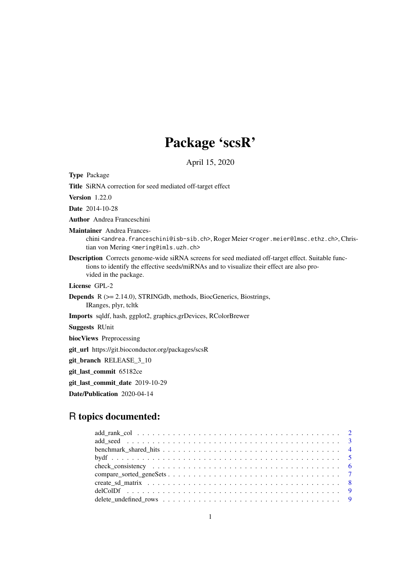# Package 'scsR'

April 15, 2020

Type Package

Title SiRNA correction for seed mediated off-target effect

Version 1.22.0

Date 2014-10-28

Author Andrea Franceschini

Maintainer Andrea Frances-

chini <andrea.franceschini@isb-sib.ch>, Roger Meier <roger.meier@lmsc.ethz.ch>, Christian von Mering <mering@imls.uzh.ch>

Description Corrects genome-wide siRNA screens for seed mediated off-target effect. Suitable functions to identify the effective seeds/miRNAs and to visualize their effect are also provided in the package.

License GPL-2

Depends R (>= 2.14.0), STRINGdb, methods, BiocGenerics, Biostrings, IRanges, plyr, tcltk

Imports sqldf, hash, ggplot2, graphics,grDevices, RColorBrewer

Suggests RUnit

biocViews Preprocessing

git\_url https://git.bioconductor.org/packages/scsR

git\_branch RELEASE\_3\_10

git\_last\_commit 65182ce

git\_last\_commit\_date 2019-10-29

Date/Publication 2020-04-14

# R topics documented: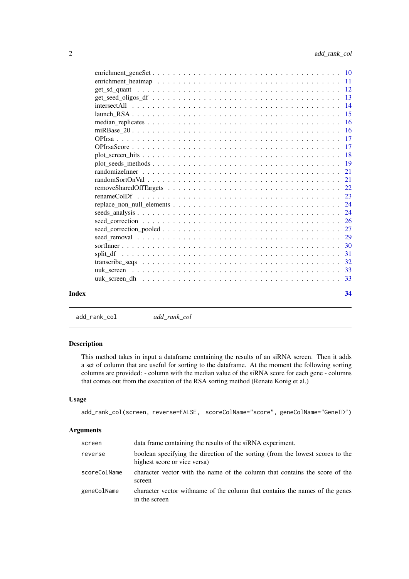<span id="page-1-0"></span>

| Index | 34 |
|-------|----|
|       |    |

add\_rank\_col *add\_rank\_col*

# Description

This method takes in input a dataframe containing the results of an siRNA screen. Then it adds a set of column that are useful for sorting to the dataframe. At the moment the following sorting columns are provided: - column with the median value of the siRNA score for each gene - columns that comes out from the execution of the RSA sorting method (Renate Konig et al.)

## Usage

```
add_rank_col(screen, reverse=FALSE, scoreColName="score", geneColName="GeneID")
```

| screen       | data frame containing the results of the siRNA experiment.                                                     |
|--------------|----------------------------------------------------------------------------------------------------------------|
| reverse      | boolean specifying the direction of the sorting (from the lowest scores to the<br>highest score or vice versa) |
| scoreColName | character vector with the name of the column that contains the score of the<br>screen                          |
| geneColName  | character vector with name of the column that contains the names of the genes<br>in the screen                 |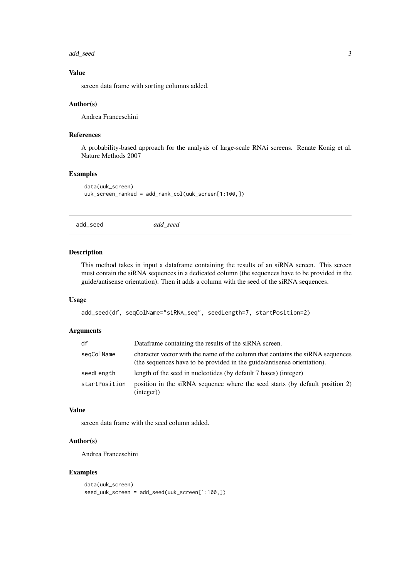#### <span id="page-2-0"></span>add\_seed 3

## Value

screen data frame with sorting columns added.

## Author(s)

Andrea Franceschini

#### References

A probability-based approach for the analysis of large-scale RNAi screens. Renate Konig et al. Nature Methods 2007

## Examples

```
data(uuk_screen)
uuk_screen_ranked = add_rank_col(uuk_screen[1:100,])
```
add\_seed *add\_seed*

#### Description

This method takes in input a dataframe containing the results of an siRNA screen. This screen must contain the siRNA sequences in a dedicated column (the sequences have to be provided in the guide/antisense orientation). Then it adds a column with the seed of the siRNA sequences.

## Usage

```
add_seed(df, seqColName="siRNA_seq", seedLength=7, startPosition=2)
```
## Arguments

| df            | Dataframe containing the results of the siRNA screen.                                                                                                     |
|---------------|-----------------------------------------------------------------------------------------------------------------------------------------------------------|
| seqColName    | character vector with the name of the column that contains the siRNA sequences<br>(the sequences have to be provided in the guide/antisense orientation). |
| seedLength    | length of the seed in nucleotides (by default 7 bases) (integer)                                                                                          |
| startPosition | position in the siRNA sequence where the seed starts (by default position 2)<br>(integer)                                                                 |

## Value

screen data frame with the seed column added.

## Author(s)

Andrea Franceschini

## Examples

```
data(uuk_screen)
seed_uuk_screen = add_seed(uuk_screen[1:100,])
```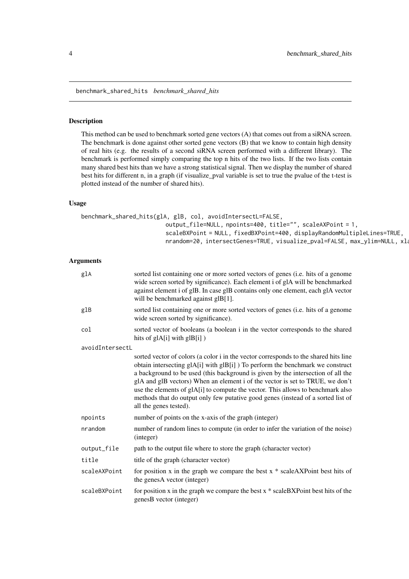<span id="page-3-0"></span>benchmark\_shared\_hits *benchmark\_shared\_hits*

#### Description

This method can be used to benchmark sorted gene vectors (A) that comes out from a siRNA screen. The benchmark is done against other sorted gene vectors (B) that we know to contain high density of real hits (e.g. the results of a second siRNA screen performed with a different library). The benchmark is performed simply comparing the top n hits of the two lists. If the two lists contain many shared best hits than we have a strong statistical signal. Then we display the number of shared best hits for different n, in a graph (if visualize\_pval variable is set to true the pvalue of the t-test is plotted instead of the number of shared hits).

## Usage

```
benchmark_shared_hits(glA, glB, col, avoidIntersectL=FALSE,
                         output_file=NULL, npoints=400, title="", scaleAXPoint = 1,
                         scaleBXPoint = NULL, fixedBXPoint=400, displayRandomMultipleLines=TRUE,
                         nrandom=20, intersectGenes=TRUE, visualize_pval=FALSE, max_ylim=NULL, xla
```

| glA             | sorted list containing one or more sorted vectors of genes ( <i>i.e.</i> hits of a genome<br>wide screen sorted by significance). Each element i of glA will be benchmarked<br>against element i of glB. In case glB contains only one element, each glA vector<br>will be benchmarked against glB[1].                                                                                                                                                                                                                                       |
|-----------------|----------------------------------------------------------------------------------------------------------------------------------------------------------------------------------------------------------------------------------------------------------------------------------------------------------------------------------------------------------------------------------------------------------------------------------------------------------------------------------------------------------------------------------------------|
| glB             | sorted list containing one or more sorted vectors of genes (i.e. hits of a genome<br>wide screen sorted by significance).                                                                                                                                                                                                                                                                                                                                                                                                                    |
| col             | sorted vector of booleans (a boolean i in the vector corresponds to the shared<br>hits of glA[i] with glB[i])                                                                                                                                                                                                                                                                                                                                                                                                                                |
| avoidIntersectL |                                                                                                                                                                                                                                                                                                                                                                                                                                                                                                                                              |
|                 | sorted vector of colors (a color i in the vector corresponds to the shared hits line<br>obtain intersecting glA[i] with glB[i] ) To perform the benchmark we construct<br>a background to be used (this background is given by the intersection of all the<br>glA and glB vectors) When an element i of the vector is set to TRUE, we don't<br>use the elements of glA[i] to compute the vector. This allows to benchmark also<br>methods that do output only few putative good genes (instead of a sorted list of<br>all the genes tested). |
| npoints         | number of points on the x-axis of the graph (integer)                                                                                                                                                                                                                                                                                                                                                                                                                                                                                        |
| nrandom         | number of random lines to compute (in order to infer the variation of the noise)<br>(integer)                                                                                                                                                                                                                                                                                                                                                                                                                                                |
| output_file     | path to the output file where to store the graph (character vector)                                                                                                                                                                                                                                                                                                                                                                                                                                                                          |
| title           | title of the graph (character vector)                                                                                                                                                                                                                                                                                                                                                                                                                                                                                                        |
| scaleAXPoint    | for position x in the graph we compare the best $x * scaleAXPoint$ best hits of<br>the genesA vector (integer)                                                                                                                                                                                                                                                                                                                                                                                                                               |
| scaleBXPoint    | for position x in the graph we compare the best $x * scaleBXP$ bind best hits of the<br>genesB vector (integer)                                                                                                                                                                                                                                                                                                                                                                                                                              |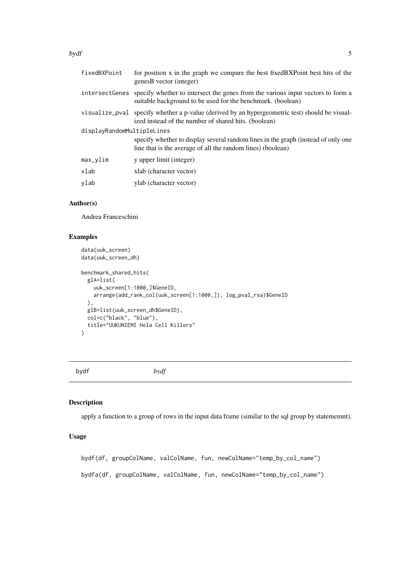<span id="page-4-0"></span>bydf 5

| fixedBXPoint               | for position x in the graph we compare the best fixed BXPoint best hits of the<br>genesB vector (integer)                                                      |  |
|----------------------------|----------------------------------------------------------------------------------------------------------------------------------------------------------------|--|
|                            | intersect Genes specify whether to intersect the genes from the various input vectors to form a<br>suitable background to be used for the benchmark. (boolean) |  |
|                            | visualize_pval specify whether a p-value (derived by an hypergeometric test) should be visual-<br>ized instead of the number of shared hits. (boolean)         |  |
| displayRandomMultipleLines |                                                                                                                                                                |  |
|                            | specify whether to display several random lines in the graph (instead of only one<br>line that is the average of all the random lines) (boolean)               |  |
| $max_v$ lim                | y upper limit (integer)                                                                                                                                        |  |
| xlab                       | xlab (character vector)                                                                                                                                        |  |
| ylab                       | ylab (character vector)                                                                                                                                        |  |

## Author(s)

Andrea Franceschini

# Examples

```
data(uuk_screen)
data(uuk_screen_dh)
benchmark_shared_hits(
  glA=list(
    uuk_screen[1:1000,]$GeneID,
    arrange(add_rank_col(uuk_screen[1:1000,]), log_pval_rsa)$GeneID
  ),
  glB=list(uuk_screen_dh$GeneID),
  col=c("black", "blue"),
  title="UUKUNIEMI Hela Cell Killers"
\lambda
```
bydf *bydf*

# Description

apply a function to a group of rows in the input data frame (similar to the sql group by statememnt).

## Usage

bydf(df, groupColName, valColName, fun, newColName="temp\_by\_col\_name") bydfa(df, groupColName, valColName, fun, newColName="temp\_by\_col\_name")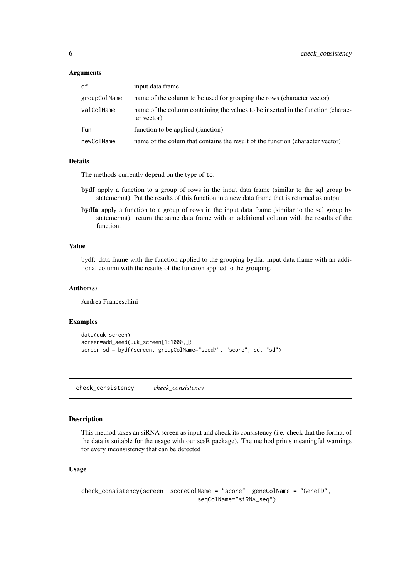## <span id="page-5-0"></span>Arguments

| df           | input data frame                                                                                |
|--------------|-------------------------------------------------------------------------------------------------|
| groupColName | name of the column to be used for grouping the rows (character vector)                          |
| valColName   | name of the column containing the values to be inserted in the function (charac-<br>ter vector) |
| fun          | function to be applied (function)                                                               |
| newColName   | name of the colum that contains the result of the function (character vector)                   |

## Details

The methods currently depend on the type of to:

- bydf apply a function to a group of rows in the input data frame (similar to the sql group by statememnt). Put the results of this function in a new data frame that is returned as output.
- bydfa apply a function to a group of rows in the input data frame (similar to the sql group by statememnt). return the same data frame with an additional column with the results of the function.

## Value

bydf: data frame with the function applied to the grouping bydfa: input data frame with an additional column with the results of the function applied to the grouping.

#### Author(s)

Andrea Franceschini

#### Examples

```
data(uuk_screen)
screen=add_seed(uuk_screen[1:1000,])
screen_sd = bydf(screen, groupColName="seed7", "score", sd, "sd")
```
check\_consistency *check\_consistency*

## Description

This method takes an siRNA screen as input and check its consistency (i.e. check that the format of the data is suitable for the usage with our scsR package). The method prints meaningful warnings for every inconsistency that can be detected

# Usage

```
check_consistency(screen, scoreColName = "score", geneColName = "GeneID",
                                  seqColName="siRNA_seq")
```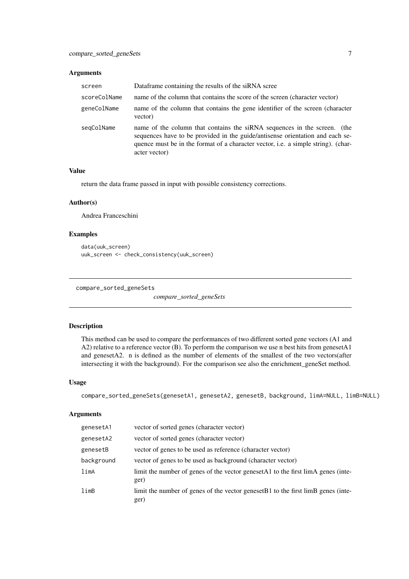## <span id="page-6-0"></span>Arguments

| screen       | Dataframe containing the results of the siRNA scree                                                                                                                                                                                                             |
|--------------|-----------------------------------------------------------------------------------------------------------------------------------------------------------------------------------------------------------------------------------------------------------------|
| scoreColName | name of the column that contains the score of the screen (character vector)                                                                                                                                                                                     |
| geneColName  | name of the column that contains the gene identifier of the screen (character<br>vector)                                                                                                                                                                        |
| segColName   | name of the column that contains the siRNA sequences in the screen. (the<br>sequences have to be provided in the guide/antisense orientation and each se-<br>quence must be in the format of a character vector, i.e. a simple string). (char-<br>acter vector) |

## Value

return the data frame passed in input with possible consistency corrections.

## Author(s)

Andrea Franceschini

## Examples

```
data(uuk_screen)
uuk_screen <- check_consistency(uuk_screen)
```
compare\_sorted\_geneSets

*compare\_sorted\_geneSets*

#### Description

This method can be used to compare the performances of two different sorted gene vectors (A1 and A2) relative to a reference vector (B). To perform the comparison we use n best hits from genesetA1 and genesetA2. n is defined as the number of elements of the smallest of the two vectors(after intersecting it with the background). For the comparison see also the enrichment\_geneSet method.

## Usage

```
compare_sorted_geneSets(genesetA1, genesetA2, genesetB, background, limA=NULL, limB=NULL)
```

| genesetA1  | vector of sorted genes (character vector)                                                 |
|------------|-------------------------------------------------------------------------------------------|
| genesetA2  | vector of sorted genes (character vector)                                                 |
| genesetB   | vector of genes to be used as reference (character vector)                                |
| background | vector of genes to be used as background (character vector)                               |
| limA       | limit the number of genes of the vector genesetA1 to the first limA genes (inte-<br>ger)  |
| limB       | limit the number of genes of the vector geneset B1 to the first limB genes (inte-<br>ger) |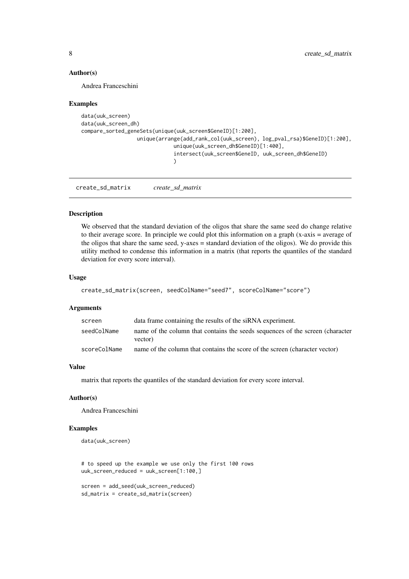## Author(s)

Andrea Franceschini

#### Examples

```
data(uuk_screen)
data(uuk_screen_dh)
compare_sorted_geneSets(unique(uuk_screen$GeneID)[1:200],
                  unique(arrange(add_rank_col(uuk_screen), log_pval_rsa)$GeneID)[1:200],
                              unique(uuk_screen_dh$GeneID)[1:400],
                              intersect(uuk_screen$GeneID, uuk_screen_dh$GeneID)
                              )
```
create\_sd\_matrix *create\_sd\_matrix*

#### Description

We observed that the standard deviation of the oligos that share the same seed do change relative to their average score. In principle we could plot this information on a graph (x-axis = average of the oligos that share the same seed, y-axes = standard deviation of the oligos). We do provide this utility method to condense this information in a matrix (that reports the quantiles of the standard deviation for every score interval).

## Usage

```
create_sd_matrix(screen, seedColName="seed7", scoreColName="score")
```
#### Arguments

| screen       | data frame containing the results of the siRNA experiment.                               |
|--------------|------------------------------------------------------------------------------------------|
| seedColName  | name of the column that contains the seeds sequences of the screen (character<br>vector) |
| scoreColName | name of the column that contains the score of the screen (character vector)              |

## Value

matrix that reports the quantiles of the standard deviation for every score interval.

## Author(s)

Andrea Franceschini

#### Examples

```
data(uuk_screen)
```
# to speed up the example we use only the first 100 rows uuk\_screen\_reduced = uuk\_screen[1:100,]

```
screen = add_seed(uuk_screen_reduced)
sd_matrix = create_sd_matrix(screen)
```
<span id="page-7-0"></span>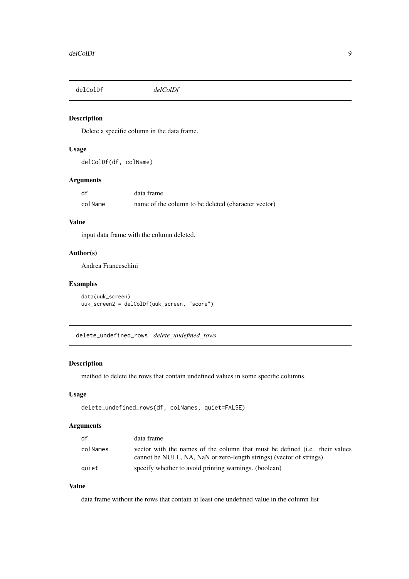<span id="page-8-0"></span>delColDf *delColDf*

# Description

Delete a specific column in the data frame.

# Usage

delColDf(df, colName)

## Arguments

| df      | data frame                                          |
|---------|-----------------------------------------------------|
| colName | name of the column to be deleted (character vector) |

# Value

input data frame with the column deleted.

# Author(s)

Andrea Franceschini

## Examples

```
data(uuk_screen)
uuk_screen2 = delColDf(uuk_screen, "score")
```
delete\_undefined\_rows *delete\_undefined\_rows*

## Description

method to delete the rows that contain undefined values in some specific columns.

# Usage

```
delete_undefined_rows(df, colNames, quiet=FALSE)
```
# Arguments

| df       | data frame                                                                                                                                         |
|----------|----------------------------------------------------------------------------------------------------------------------------------------------------|
| colNames | vector with the names of the column that must be defined (i.e. their values<br>cannot be NULL, NA, NaN or zero-length strings) (vector of strings) |
| quiet    | specify whether to avoid printing warnings. (boolean)                                                                                              |

# Value

data frame without the rows that contain at least one undefined value in the column list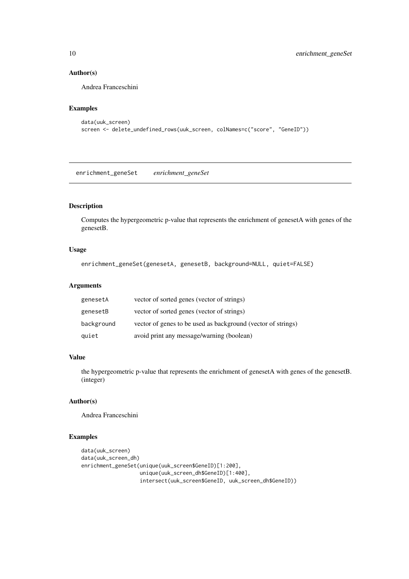## Author(s)

Andrea Franceschini

## Examples

```
data(uuk_screen)
screen <- delete_undefined_rows(uuk_screen, colNames=c("score", "GeneID"))
```
enrichment\_geneSet *enrichment\_geneSet*

## Description

Computes the hypergeometric p-value that represents the enrichment of genesetA with genes of the genesetB.

## Usage

```
enrichment_geneSet(genesetA, genesetB, background=NULL, quiet=FALSE)
```
#### Arguments

| genesetA   | vector of sorted genes (vector of strings)                   |
|------------|--------------------------------------------------------------|
| genesetB   | vector of sorted genes (vector of strings)                   |
| background | vector of genes to be used as background (vector of strings) |
| quiet      | avoid print any message/warning (boolean)                    |

# Value

the hypergeometric p-value that represents the enrichment of genesetA with genes of the genesetB. (integer)

## Author(s)

Andrea Franceschini

## Examples

```
data(uuk_screen)
data(uuk_screen_dh)
enrichment_geneSet(unique(uuk_screen$GeneID)[1:200],
                   unique(uuk_screen_dh$GeneID)[1:400],
                   intersect(uuk_screen$GeneID, uuk_screen_dh$GeneID))
```
<span id="page-9-0"></span>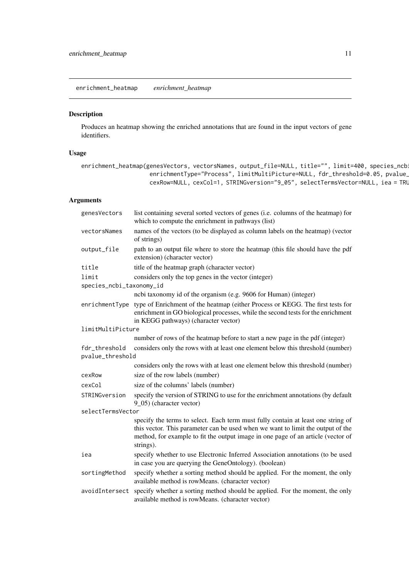<span id="page-10-0"></span>enrichment\_heatmap *enrichment\_heatmap*

## Description

Produces an heatmap showing the enriched annotations that are found in the input vectors of gene identifiers.

## Usage

```
enrichment_heatmap(genesVectors, vectorsNames, output_file=NULL, title="", limit=400, species_ncb
                    enrichmentType="Process", limitMultiPicture=NULL, fdr_threshold=0.05, pvalue_
                    cexRow=NULL, cexCol=1, STRINGversion="9_05", selectTermsVector=NULL, iea = TRU
```

| genesVectors                                                                                                         | list containing several sorted vectors of genes (i.e. columns of the heatmap) for<br>which to compute the enrichment in pathways (list)                                                                                                                              |
|----------------------------------------------------------------------------------------------------------------------|----------------------------------------------------------------------------------------------------------------------------------------------------------------------------------------------------------------------------------------------------------------------|
| vectorsNames                                                                                                         | names of the vectors (to be displayed as column labels on the heatmap) (vector<br>of strings)                                                                                                                                                                        |
| output_file                                                                                                          | path to an output file where to store the heatmap (this file should have the pdf<br>extension) (character vector)                                                                                                                                                    |
| title                                                                                                                | title of the heatmap graph (character vector)                                                                                                                                                                                                                        |
| limit<br>species_ncbi_taxonomy_id                                                                                    | considers only the top genes in the vector (integer)                                                                                                                                                                                                                 |
|                                                                                                                      | ncbi taxonomy id of the organism (e.g. 9606 for Human) (integer)                                                                                                                                                                                                     |
| enrichmentType                                                                                                       | type of Enrichment of the heatmap (either Process or KEGG. The first tests for<br>enrichment in GO biological processes, while the second tests for the enrichment<br>in KEGG pathways) (character vector)                                                           |
| limitMultiPicture                                                                                                    |                                                                                                                                                                                                                                                                      |
|                                                                                                                      | number of rows of the heatmap before to start a new page in the pdf (integer)                                                                                                                                                                                        |
| fdr_threshold<br>considers only the rows with at least one element below this threshold (number)<br>pvalue_threshold |                                                                                                                                                                                                                                                                      |
|                                                                                                                      | considers only the rows with at least one element below this threshold (number)                                                                                                                                                                                      |
| cexRow                                                                                                               | size of the row labels (number)                                                                                                                                                                                                                                      |
| cexCol                                                                                                               | size of the columns' labels (number)                                                                                                                                                                                                                                 |
| STRINGversion                                                                                                        | specify the version of STRING to use for the enrichment annotations (by default<br>9_05) (character vector)                                                                                                                                                          |
| selectTermsVector                                                                                                    |                                                                                                                                                                                                                                                                      |
|                                                                                                                      | specify the terms to select. Each term must fully contain at least one string of<br>this vector. This parameter can be used when we want to limit the output of the<br>method, for example to fit the output image in one page of an article (vector of<br>strings). |
| iea                                                                                                                  | specify whether to use Electronic Inferred Association annotations (to be used<br>in case you are querying the GeneOntology). (boolean)                                                                                                                              |
| sortingMethod                                                                                                        | specify whether a sorting method should be applied. For the moment, the only<br>available method is rowMeans. (character vector)                                                                                                                                     |
| avoidIntersect                                                                                                       | specify whether a sorting method should be applied. For the moment, the only<br>available method is rowMeans. (character vector)                                                                                                                                     |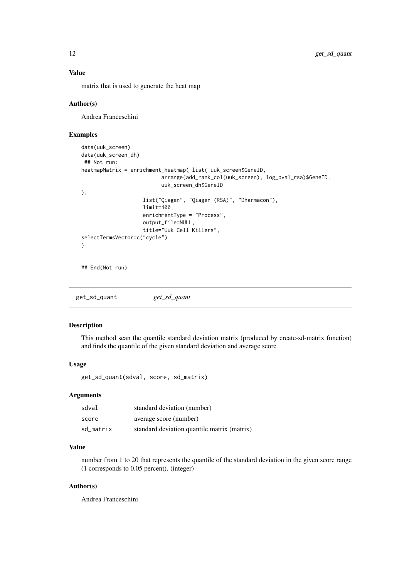## <span id="page-11-0"></span>Value

matrix that is used to generate the heat map

## Author(s)

Andrea Franceschini

#### Examples

```
data(uuk_screen)
data(uuk_screen_dh)
## Not run:
heatmapMatrix = enrichment_heatmap( list( uuk_screen$GeneID,
                          arrange(add_rank_col(uuk_screen), log_pval_rsa)$GeneID,
                          uuk_screen_dh$GeneID
),
                    list("Qiagen", "Qiagen (RSA)", "Dharmacon"),
                    limit=400,
                    enrichmentType = "Process",
                    output_file=NULL,
                    title="Uuk Cell Killers",
selectTermsVector=c("cycle")
\lambda## End(Not run)
```
get\_sd\_quant *get\_sd\_quant*

## Description

This method scan the quantile standard deviation matrix (produced by create-sd-matrix function) and finds the quantile of the given standard deviation and average score

#### Usage

get\_sd\_quant(sdval, score, sd\_matrix)

#### Arguments

| sdval     | standard deviation (number)                 |
|-----------|---------------------------------------------|
| score     | average score (number)                      |
| sd matrix | standard deviation quantile matrix (matrix) |

## Value

number from 1 to 20 that represents the quantile of the standard deviation in the given score range (1 corresponds to 0.05 percent). (integer)

## Author(s)

Andrea Franceschini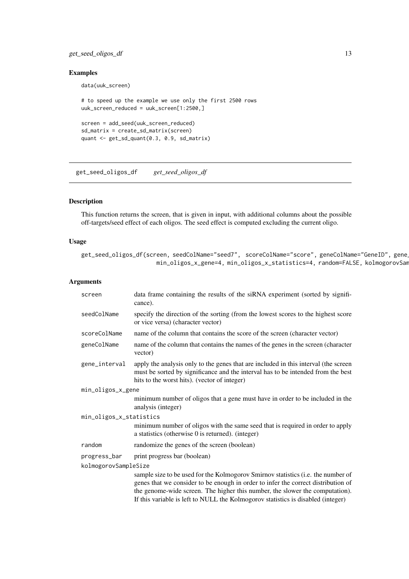#### <span id="page-12-0"></span>get\_seed\_oligos\_df 13

#### Examples

```
data(uuk_screen)
```

```
# to speed up the example we use only the first 2500 rows
uuk_screen_reduced = uuk_screen[1:2500,]
screen = add_seed(uuk_screen_reduced)
```

```
sd_matrix = create_sd_matrix(screen)
quant <- get_sd_quant(0.3, 0.9, sd_matrix)
```
get\_seed\_oligos\_df *get\_seed\_oligos\_df*

## Description

This function returns the screen, that is given in input, with additional columns about the possible off-targets/seed effect of each oligos. The seed effect is computed excluding the current oligo.

#### Usage

```
get_seed_oligos_df(screen, seedColName="seed7", scoreColName="score", geneColName="GeneID", gene
                      min_oligos_x_gene=4, min_oligos_x_statistics=4, random=FALSE, kolmogorovSan
```
## Arguments

| screen                  | data frame containing the results of the siRNA experiment (sorted by signifi-<br>cance).                                                                                                                                                              |  |
|-------------------------|-------------------------------------------------------------------------------------------------------------------------------------------------------------------------------------------------------------------------------------------------------|--|
| seedColName             | specify the direction of the sorting (from the lowest scores to the highest score<br>or vice versa) (character vector)                                                                                                                                |  |
| scoreColName            | name of the column that contains the score of the screen (character vector)                                                                                                                                                                           |  |
| geneColName             | name of the column that contains the names of the genes in the screen (character<br>vector)                                                                                                                                                           |  |
| gene_interval           | apply the analysis only to the genes that are included in this interval (the screen<br>must be sorted by significance and the interval has to be intended from the best<br>hits to the worst hits). (vector of integer)                               |  |
| min_oligos_x_gene       |                                                                                                                                                                                                                                                       |  |
|                         | minimum number of oligos that a gene must have in order to be included in the<br>analysis (integer)                                                                                                                                                   |  |
| min_oligos_x_statistics |                                                                                                                                                                                                                                                       |  |
|                         | minimum number of oligos with the same seed that is required in order to apply<br>a statistics (otherwise 0 is returned). (integer)                                                                                                                   |  |
| random                  | randomize the genes of the screen (boolean)                                                                                                                                                                                                           |  |
| progress_bar            | print progress bar (boolean)                                                                                                                                                                                                                          |  |
| kolmogorovSampleSize    |                                                                                                                                                                                                                                                       |  |
|                         | sample size to be used for the Kolmogorov Smirnov statistics (i.e. the number of<br>genes that we consider to be enough in order to infer the correct distribution of<br>the genome-wide screen. The higher this number, the slower the computation). |  |

If this variable is left to NULL the Kolmogorov statistics is disabled (integer)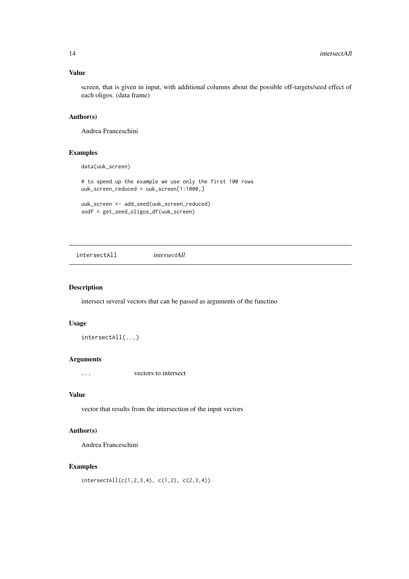## <span id="page-13-0"></span>Value

screen, that is given in input, with additional columns about the possible off-targets/seed effect of each oligos. (data frame)

# Author(s)

Andrea Franceschini

## Examples

data(uuk\_screen)

# to speed up the example we use only the first 100 rows uuk\_screen\_reduced = uuk\_screen[1:1000,]

uuk\_screen <- add\_seed(uuk\_screen\_reduced) sodf = get\_seed\_oligos\_df(uuk\_screen)

intersectAll *intersectAll*

## Description

intersect several vectors that can be passed as arguments of the functino

## Usage

intersectAll(...)

#### Arguments

... vectors to intersect

## Value

vector that results from the intersection of the input vectors

## Author(s)

Andrea Franceschini

## Examples

 $intersection[ (c(1,2,3,4), c(1,2), c(2,3,4))$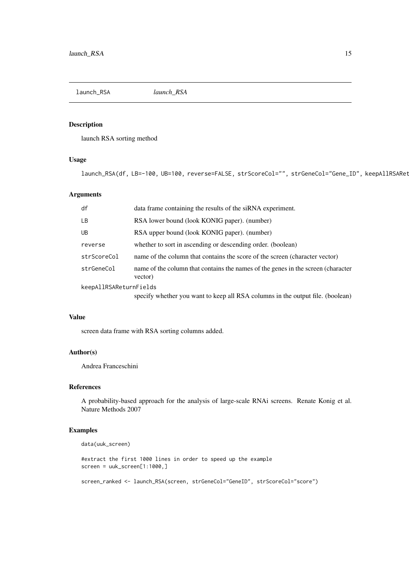<span id="page-14-0"></span>launch\_RSA *launch\_RSA*

## Description

launch RSA sorting method

# Usage

launch\_RSA(df, LB=-100, UB=100, reverse=FALSE, strScoreCol="", strGeneCol="Gene\_ID", keepAllRSARet

## Arguments

| df                     | data frame containing the results of the siRNA experiment.                                  |
|------------------------|---------------------------------------------------------------------------------------------|
| LB                     | RSA lower bound (look KONIG paper). (number)                                                |
| <b>UB</b>              | RSA upper bound (look KONIG paper). (number)                                                |
| reverse                | whether to sort in ascending or descending order. (boolean)                                 |
| strScoreCol            | name of the column that contains the score of the screen (character vector)                 |
| strGeneCol             | name of the column that contains the names of the genes in the screen (character<br>vector) |
| keepAllRSAReturnFields |                                                                                             |
|                        | specify whether you want to keep all RSA columns in the output file. (boolean)              |

## Value

screen data frame with RSA sorting columns added.

## Author(s)

Andrea Franceschini

## References

A probability-based approach for the analysis of large-scale RNAi screens. Renate Konig et al. Nature Methods 2007

# Examples

```
data(uuk_screen)
```
#extract the first 1000 lines in order to speed up the example screen = uuk\_screen[1:1000,]

screen\_ranked <- launch\_RSA(screen, strGeneCol="GeneID", strScoreCol="score")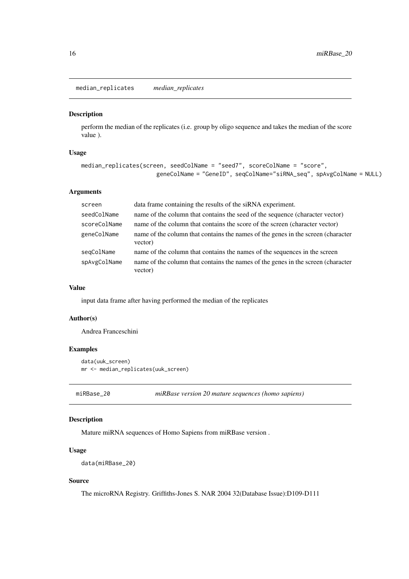<span id="page-15-0"></span>median\_replicates *median\_replicates*

#### Description

perform the median of the replicates (i.e. group by oligo sequence and takes the median of the score value ).

#### Usage

```
median_replicates(screen, seedColName = "seed7", scoreColName = "score",
                      geneColName = "GeneID", seqColName="siRNA_seq", spAvgColName = NULL)
```
# Arguments

| screen       | data frame containing the results of the siRNA experiment.                                  |
|--------------|---------------------------------------------------------------------------------------------|
| seedColName  | name of the column that contains the seed of the sequence (character vector)                |
| scoreColName | name of the column that contains the score of the screen (character vector)                 |
| geneColName  | name of the column that contains the names of the genes in the screen (character<br>vector) |
| seqColName   | name of the column that contains the names of the sequences in the screen                   |
| spAvgColName | name of the column that contains the names of the genes in the screen (character<br>vector) |

#### Value

input data frame after having performed the median of the replicates

#### Author(s)

Andrea Franceschini

## Examples

```
data(uuk_screen)
mr <- median_replicates(uuk_screen)
```
miRBase\_20 *miRBase version 20 mature sequences (homo sapiens)*

#### Description

Mature miRNA sequences of Homo Sapiens from miRBase version .

## Usage

```
data(miRBase_20)
```
## Source

The microRNA Registry. Griffiths-Jones S. NAR 2004 32(Database Issue):D109-D111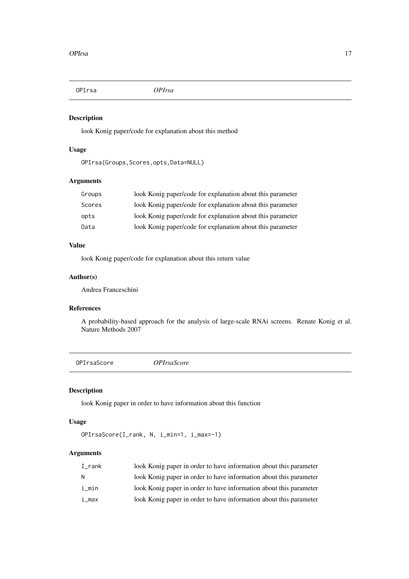<span id="page-16-0"></span>OPIrsa *OPIrsa*

# Description

look Konig paper/code for explanation about this method

## Usage

```
OPIrsa(Groups,Scores,opts,Data=NULL)
```
## Arguments

| Groups | look Konig paper/code for explanation about this parameter |
|--------|------------------------------------------------------------|
| Scores | look Konig paper/code for explanation about this parameter |
| opts   | look Konig paper/code for explanation about this parameter |
| Data   | look Konig paper/code for explanation about this parameter |

# Value

look Konig paper/code for explanation about this return value

# Author(s)

Andrea Franceschini

# References

A probability-based approach for the analysis of large-scale RNAi screens. Renate Konig et al. Nature Methods 2007

OPIrsaScore *OPIrsaScore*

# Description

look Konig paper in order to have information about this function

# Usage

```
OPIrsaScore(I_rank, N, i_min=1, i_max=-1)
```

| I rank | look Konig paper in order to have information about this parameter |
|--------|--------------------------------------------------------------------|
| N.     | look Konig paper in order to have information about this parameter |
| i min  | look Konig paper in order to have information about this parameter |
| i max  | look Konig paper in order to have information about this parameter |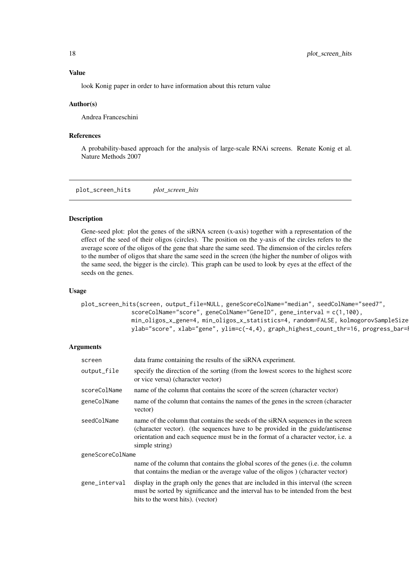#### <span id="page-17-0"></span>Value

look Konig paper in order to have information about this return value

#### Author(s)

Andrea Franceschini

#### References

A probability-based approach for the analysis of large-scale RNAi screens. Renate Konig et al. Nature Methods 2007

plot\_screen\_hits *plot\_screen\_hits*

#### Description

Gene-seed plot: plot the genes of the siRNA screen (x-axis) together with a representation of the effect of the seed of their oligos (circles). The position on the y-axis of the circles refers to the average score of the oligos of the gene that share the same seed. The dimension of the circles refers to the number of oligos that share the same seed in the screen (the higher the number of oligos with the same seed, the bigger is the circle). This graph can be used to look by eyes at the effect of the seeds on the genes.

#### Usage

plot\_screen\_hits(screen, output\_file=NULL, geneScoreColName="median", seedColName="seed7", scoreColName="score", geneColName="GeneID", gene\_interval = c(1,100), min\_oligos\_x\_gene=4, min\_oligos\_x\_statistics=4, random=FALSE, kolmogorovSampleSize ylab="score", xlab="gene", ylim=c(-4,4), graph\_highest\_count\_thr=16, progress\_bar=

| screen           | data frame containing the results of the siRNA experiment.                                                                                                                                                                                                              |  |
|------------------|-------------------------------------------------------------------------------------------------------------------------------------------------------------------------------------------------------------------------------------------------------------------------|--|
| output_file      | specify the direction of the sorting (from the lowest scores to the highest score<br>or vice versa) (character vector)                                                                                                                                                  |  |
| scoreColName     | name of the column that contains the score of the screen (character vector)                                                                                                                                                                                             |  |
| geneColName      | name of the column that contains the names of the genes in the screen (character<br>vector)                                                                                                                                                                             |  |
| seedColName      | name of the column that contains the seeds of the siRNA sequences in the screen<br>(character vector). (the sequences have to be provided in the guide/antisense<br>orientation and each sequence must be in the format of a character vector, i.e. a<br>simple string) |  |
| geneScoreColName |                                                                                                                                                                                                                                                                         |  |
|                  | name of the column that contains the global scores of the genes (i.e. the column<br>that contains the median or the average value of the oligos) (character vector)                                                                                                     |  |
| gene_interval    | display in the graph only the genes that are included in this interval (the screen<br>must be sorted by significance and the interval has to be intended from the best<br>hits to the worst hits). (vector)                                                             |  |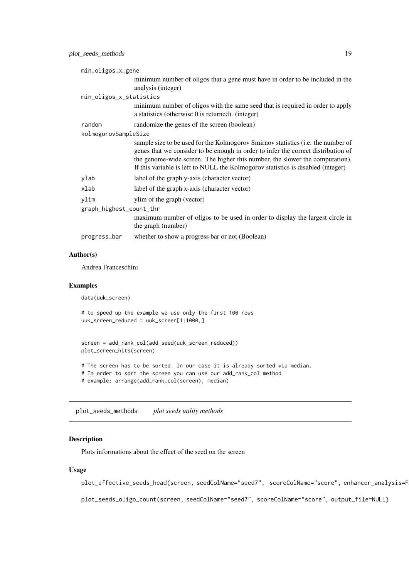<span id="page-18-0"></span>

| min_oligos_x_gene       |                                                                                                                                                                                                                                                                                                                                           |  |
|-------------------------|-------------------------------------------------------------------------------------------------------------------------------------------------------------------------------------------------------------------------------------------------------------------------------------------------------------------------------------------|--|
|                         | minimum number of oligos that a gene must have in order to be included in the<br>analysis (integer)                                                                                                                                                                                                                                       |  |
| min_oligos_x_statistics |                                                                                                                                                                                                                                                                                                                                           |  |
|                         | minimum number of oligos with the same seed that is required in order to apply<br>a statistics (otherwise $0$ is returned). (integer)                                                                                                                                                                                                     |  |
| random                  | randomize the genes of the screen (boolean)                                                                                                                                                                                                                                                                                               |  |
| kolmogorovSampleSize    |                                                                                                                                                                                                                                                                                                                                           |  |
|                         | sample size to be used for the Kolmogorov Smirnov statistics (i.e. the number of<br>genes that we consider to be enough in order to infer the correct distribution of<br>the genome-wide screen. The higher this number, the slower the computation).<br>If this variable is left to NULL the Kolmogorov statistics is disabled (integer) |  |
| ylab                    | label of the graph y-axis (character vector)                                                                                                                                                                                                                                                                                              |  |
| xlab                    | label of the graph x-axis (character vector)                                                                                                                                                                                                                                                                                              |  |
| ylim                    | ylim of the graph (vector)                                                                                                                                                                                                                                                                                                                |  |
| graph_highest_count_thr |                                                                                                                                                                                                                                                                                                                                           |  |
|                         | maximum number of oligos to be used in order to display the largest circle in<br>the graph (number)                                                                                                                                                                                                                                       |  |
| progress_bar            | whether to show a progress bar or not (Boolean)                                                                                                                                                                                                                                                                                           |  |
|                         |                                                                                                                                                                                                                                                                                                                                           |  |

## Author(s)

Andrea Franceschini

# Examples

data(uuk\_screen)

# to speed up the example we use only the first 100 rows uuk\_screen\_reduced = uuk\_screen[1:1000,]

```
screen = add_rank_col(add_seed(uuk_screen_reduced))
plot_screen_hits(screen)
# The screen has to be sorted. In our case it is already sorted via median.
# In order to sort the screen you can use our add_rank_col method
# example: arrange(add_rank_col(screen), median)
```
plot\_seeds\_methods *plot seeds utility methods*

## Description

Plots informations about the effect of the seed on the screen

# Usage

plot\_effective\_seeds\_head(screen, seedColName="seed7", scoreColName="score", enhancer\_analysis=F

plot\_seeds\_oligo\_count(screen, seedColName="seed7", scoreColName="score", output\_file=NULL)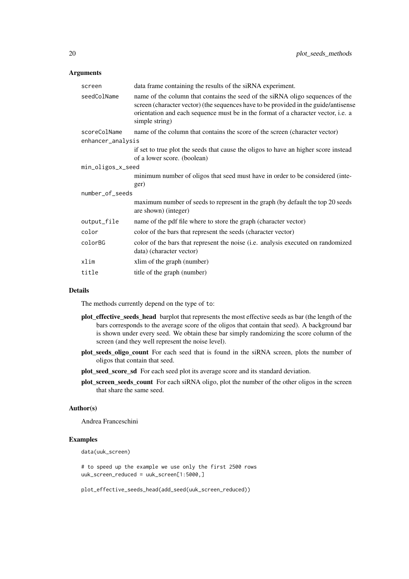# Arguments

| screen            | data frame containing the results of the siRNA experiment.                                                                                                                                                                                                                         |
|-------------------|------------------------------------------------------------------------------------------------------------------------------------------------------------------------------------------------------------------------------------------------------------------------------------|
| seedColName       | name of the column that contains the seed of the siRNA oligo sequences of the<br>screen (character vector) (the sequences have to be provided in the guide/antisense<br>orientation and each sequence must be in the format of a character vector, <i>i.e.</i> a<br>simple string) |
| scoreColName      | name of the column that contains the score of the screen (character vector)                                                                                                                                                                                                        |
| enhancer_analysis |                                                                                                                                                                                                                                                                                    |
|                   | if set to true plot the seeds that cause the oligos to have an higher score instead<br>of a lower score. (boolean)                                                                                                                                                                 |
| min_oligos_x_seed |                                                                                                                                                                                                                                                                                    |
|                   | minimum number of oligos that seed must have in order to be considered (inte-                                                                                                                                                                                                      |
|                   | ger)                                                                                                                                                                                                                                                                               |
| number_of_seeds   |                                                                                                                                                                                                                                                                                    |
|                   | maximum number of seeds to represent in the graph (by default the top 20 seeds<br>are shown) (integer)                                                                                                                                                                             |
| output_file       | name of the pdf file where to store the graph (character vector)                                                                                                                                                                                                                   |
| color             | color of the bars that represent the seeds (character vector)                                                                                                                                                                                                                      |
| colorBG           | color of the bars that represent the noise (i.e. analysis executed on randomized<br>data) (character vector)                                                                                                                                                                       |
| xlim              | xlim of the graph (number)                                                                                                                                                                                                                                                         |
| title             | title of the graph (number)                                                                                                                                                                                                                                                        |
|                   |                                                                                                                                                                                                                                                                                    |

#### Details

The methods currently depend on the type of to:

- plot\_effective\_seeds\_head barplot that represents the most effective seeds as bar (the length of the bars corresponds to the average score of the oligos that contain that seed). A background bar is shown under every seed. We obtain these bar simply randomizing the score column of the screen (and they well represent the noise level).
- plot\_seeds\_oligo\_count For each seed that is found in the siRNA screen, plots the number of oligos that contain that seed.
- plot\_seed\_score\_sd For each seed plot its average score and its standard deviation.
- plot\_screen\_seeds\_count For each siRNA oligo, plot the number of the other oligos in the screen that share the same seed.

#### Author(s)

Andrea Franceschini

#### Examples

data(uuk\_screen)

# to speed up the example we use only the first 2500 rows uuk\_screen\_reduced = uuk\_screen[1:5000,]

plot\_effective\_seeds\_head(add\_seed(uuk\_screen\_reduced))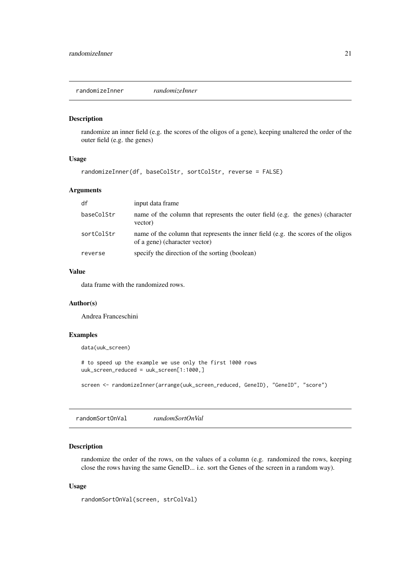<span id="page-20-0"></span>randomizeInner *randomizeInner*

## Description

randomize an inner field (e.g. the scores of the oligos of a gene), keeping unaltered the order of the outer field (e.g. the genes)

## Usage

```
randomizeInner(df, baseColStr, sortColStr, reverse = FALSE)
```
#### Arguments

| df         | input data frame                                                                                                   |
|------------|--------------------------------------------------------------------------------------------------------------------|
| baseColStr | name of the column that represents the outer field (e.g. the genes) (character<br>vector)                          |
| sortColStr | name of the column that represents the inner field (e.g. the scores of the oligos<br>of a gene) (character vector) |
| reverse    | specify the direction of the sorting (boolean)                                                                     |

#### Value

data frame with the randomized rows.

## Author(s)

Andrea Franceschini

## Examples

data(uuk\_screen)

# to speed up the example we use only the first 1000 rows uuk\_screen\_reduced = uuk\_screen[1:1000,]

screen <- randomizeInner(arrange(uuk\_screen\_reduced, GeneID), "GeneID", "score")

randomSortOnVal *randomSortOnVal*

#### Description

randomize the order of the rows, on the values of a column (e.g. randomized the rows, keeping close the rows having the same GeneID... i.e. sort the Genes of the screen in a random way).

## Usage

```
randomSortOnVal(screen, strColVal)
```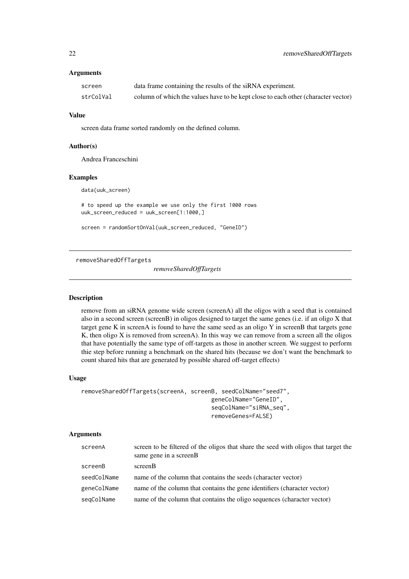# <span id="page-21-0"></span>Arguments

| screen    | data frame containing the results of the siRNA experiment.                        |
|-----------|-----------------------------------------------------------------------------------|
| strColVal | column of which the values have to be kept close to each other (character vector) |

#### Value

screen data frame sorted randomly on the defined column.

## Author(s)

Andrea Franceschini

## Examples

data(uuk\_screen)

# to speed up the example we use only the first 1000 rows uuk\_screen\_reduced = uuk\_screen[1:1000,]

screen = randomSortOnVal(uuk\_screen\_reduced, "GeneID")

removeSharedOffTargets

*removeSharedOffTargets*

## Description

remove from an siRNA genome wide screen (screenA) all the oligos with a seed that is contained also in a second screen (screenB) in oligos designed to target the same genes (i.e. if an oligo X that target gene K in screenA is found to have the same seed as an oligo Y in screenB that targets gene K, then oligo X is removed from screenA). In this way we can remove from a screen all the oligos that have potentially the same type of off-targets as those in another screen. We suggest to perform thie step before running a benchmark on the shared hits (because we don't want the benchmark to count shared hits that are generated by possible shared off-target effects)

## Usage

```
removeSharedOffTargets(screenA, screenB, seedColName="seed7",
                                      geneColName="GeneID",
                                      seqColName="siRNA_seq",
                                      removeGenes=FALSE)
```

| screenA     | screen to be filtered of the oligos that share the seed with oligos that target the<br>same gene in a screenB |
|-------------|---------------------------------------------------------------------------------------------------------------|
| screenB     | screenB                                                                                                       |
| seedColName | name of the column that contains the seeds (character vector)                                                 |
| geneColName | name of the column that contains the gene identifiers (character vector)                                      |
| segColName  | name of the column that contains the oligo sequences (character vector)                                       |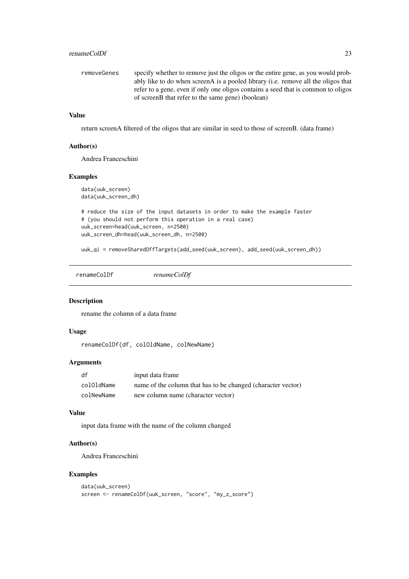#### <span id="page-22-0"></span>renameColDf 23

| removeGenes | specify whether to remove just the oligos or the entire gene, as you would prob-  |
|-------------|-----------------------------------------------------------------------------------|
|             | ably like to do when screenA is a pooled library (i.e. remove all the oligos that |
|             | refer to a gene, even if only one oligos contains a seed that is common to oligos |
|             | of screenB that refer to the same gene) (boolean)                                 |
|             |                                                                                   |

## Value

return screenA filtered of the oligos that are similar in seed to those of screenB. (data frame)

## Author(s)

Andrea Franceschini

## Examples

```
data(uuk_screen)
data(uuk_screen_dh)
```

```
# reduce the size of the input datasets in order to make the example faster
# (you should not perform this operation in a real case)
uuk_screen=head(uuk_screen, n=2500)
uuk_screen_dh=head(uuk_screen_dh, n=2500)
```
uuk\_qi = removeSharedOffTargets(add\_seed(uuk\_screen), add\_seed(uuk\_screen\_dh))

renameColDf *renameColDf*

#### Description

rename the column of a data frame

#### Usage

renameColDf(df, colOldName, colNewName)

#### Arguments

| df         | input data frame                                             |
|------------|--------------------------------------------------------------|
| colOldName | name of the column that has to be changed (character vector) |
| colNewName | new column name (character vector)                           |

## Value

input data frame with the name of the column changed

#### Author(s)

Andrea Franceschini

#### Examples

```
data(uuk_screen)
screen <- renameColDf(uuk_screen, "score", "my_z_score")
```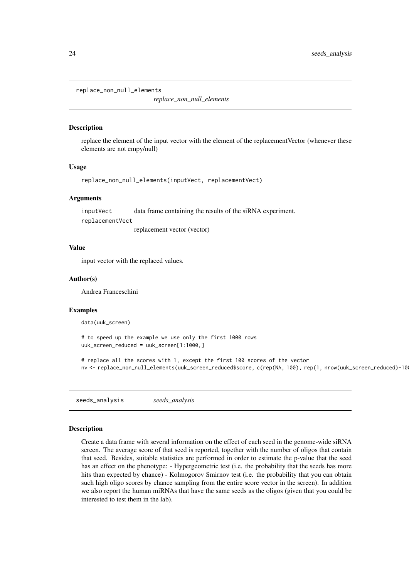<span id="page-23-0"></span>replace\_non\_null\_elements

*replace\_non\_null\_elements*

## Description

replace the element of the input vector with the element of the replacementVector (whenever these elements are not empy/null)

#### Usage

```
replace_non_null_elements(inputVect, replacementVect)
```
## Arguments

inputVect data frame containing the results of the siRNA experiment. replacementVect replacement vector (vector)

## Value

input vector with the replaced values.

#### Author(s)

Andrea Franceschini

#### Examples

data(uuk\_screen)

# to speed up the example we use only the first 1000 rows uuk\_screen\_reduced = uuk\_screen[1:1000,]

# replace all the scores with 1, except the first 100 scores of the vector nv <- replace\_non\_null\_elements(uuk\_screen\_reduced\$score, c(rep(NA, 100), rep(1, nrow(uuk\_screen\_reduced)-10

seeds\_analysis *seeds\_analysis*

#### Description

Create a data frame with several information on the effect of each seed in the genome-wide siRNA screen. The average score of that seed is reported, together with the number of oligos that contain that seed. Besides, suitable statistics are performed in order to estimate the p-value that the seed has an effect on the phenotype: - Hypergeometric test (i.e. the probability that the seeds has more hits than expected by chance) - Kolmogorov Smirnov test (i.e. the probability that you can obtain such high oligo scores by chance sampling from the entire score vector in the screen). In addition we also report the human miRNAs that have the same seeds as the oligos (given that you could be interested to test them in the lab).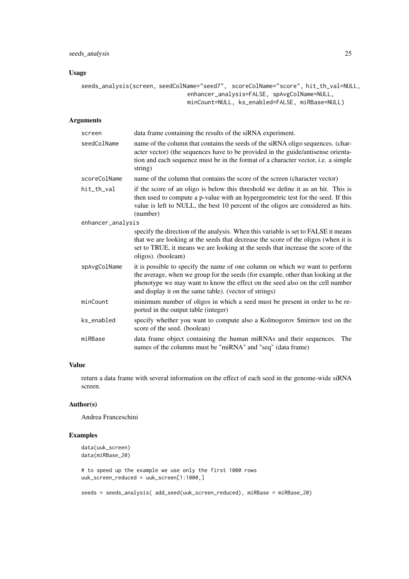## seeds\_analysis 25

## Usage

```
seeds_analysis(screen, seedColName="seed7", scoreColName="score", hit_th_val=NULL,
                               enhancer_analysis=FALSE, spAvgColName=NULL,
                               minCount=NULL, ks_enabled=FALSE, miRBase=NULL)
```
## Arguments

| screen            | data frame containing the results of the siRNA experiment.                                                                                                                                                                                                                                                 |  |
|-------------------|------------------------------------------------------------------------------------------------------------------------------------------------------------------------------------------------------------------------------------------------------------------------------------------------------------|--|
| seedColName       | name of the column that contains the seeds of the siRNA oligo sequences. (char-<br>acter vector) (the sequences have to be provided in the guide/antisense orienta-<br>tion and each sequence must be in the format of a character vector, <i>i.e.</i> a simple<br>string)                                 |  |
| scoreColName      | name of the column that contains the score of the screen (character vector)                                                                                                                                                                                                                                |  |
| hit_th_val        | if the score of an oligo is below this threshold we define it as an hit. This is<br>then used to compute a p-value with an hypergeometric test for the seed. If this<br>value is left to NULL, the best 10 percent of the oligos are considered as hits.<br>(number)                                       |  |
| enhancer_analysis |                                                                                                                                                                                                                                                                                                            |  |
|                   | specify the direction of the analysis. When this variable is set to FALSE it means<br>that we are looking at the seeds that decrease the score of the oligos (when it is<br>set to TRUE, it means we are looking at the seeds that increase the score of the<br>oligos). (booleam)                         |  |
| spAvgColName      | it is possible to specify the name of one column on which we want to perform<br>the average, when we group for the seeds (for example, other than looking at the<br>phenotype we may want to know the effect on the seed also on the cell number<br>and display it on the same table). (vector of strings) |  |
| minCount          | minimum number of oligos in which a seed must be present in order to be re-<br>ported in the output table (integer)                                                                                                                                                                                        |  |
| ks_enabled        | specify whether you want to compute also a Kolmogorov Smirnov test on the<br>score of the seed. (boolean)                                                                                                                                                                                                  |  |
| miRBase           | data frame object containing the human miRNAs and their sequences. The<br>names of the columns must be "miRNA" and "seq" (data frame)                                                                                                                                                                      |  |

# Value

return a data frame with several information on the effect of each seed in the genome-wide siRNA screen.

## Author(s)

Andrea Franceschini

# Examples

```
data(uuk_screen)
data(miRBase_20)
```
# to speed up the example we use only the first 1000 rows uuk\_screen\_reduced = uuk\_screen[1:1000,]

seeds = seeds\_analysis( add\_seed(uuk\_screen\_reduced), miRBase = miRBase\_20)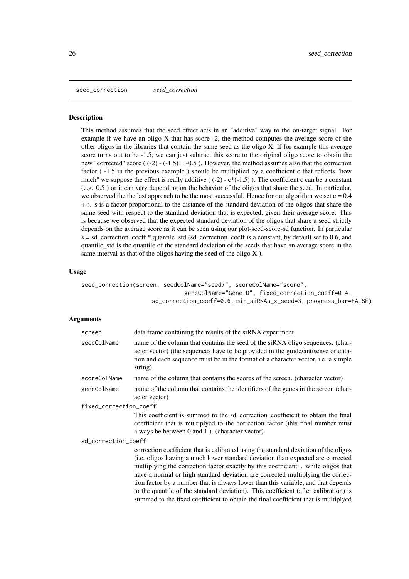<span id="page-25-0"></span>seed\_correction *seed\_correction*

#### **Description**

This method assumes that the seed effect acts in an "additive" way to the on-target signal. For example if we have an oligo  $X$  that has score  $-2$ , the method computes the average score of the other oligos in the libraries that contain the same seed as the oligo X. If for example this average score turns out to be -1.5, we can just subtract this score to the original oligo score to obtain the new "corrected" score  $((-2) - (-1.5) = -0.5)$ . However, the method assumes also that the correction factor ( -1.5 in the previous example ) should be multiplied by a coefficient c that reflects "how much" we suppose the effect is really additive  $((-2) - c*(-1.5))$ . The coefficient c can be a constant (e.g. 0.5 ) or it can vary depending on the behavior of the oligos that share the seed. In particular, we observed the the last approach to be the most successful. Hence for our algorithm we set  $c = 0.4$ + s. s is a factor proportional to the distance of the standard deviation of the oligos that share the same seed with respect to the standard deviation that is expected, given their average score. This is because we observed that the expected standard deviation of the oligos that share a seed strictly depends on the average score as it can be seen using our plot-seed-score-sd function. In particular  $s = sd$  correction coeff  $*$  quantile std (sd correction coeff is a constant, by default set to 0.6, and quantile std is the quantile of the standard deviation of the seeds that have an average score in the same interval as that of the oligos having the seed of the oligo  $X$ ).

#### Usage

```
seed_correction(screen, seedColName="seed7", scoreColName="score",
                              geneColName="GeneID", fixed_correction_coeff=0.4,
                    sd correction coeff=0.6, min siRNAs x seed=3, progress bar=FALSE)
```
## Arguments

| screen              | data frame containing the results of the siRNA experiment.                                                                                                                                                                                                                                                                                                                                                                                                                                                               |  |  |
|---------------------|--------------------------------------------------------------------------------------------------------------------------------------------------------------------------------------------------------------------------------------------------------------------------------------------------------------------------------------------------------------------------------------------------------------------------------------------------------------------------------------------------------------------------|--|--|
| seedColName         | name of the column that contains the seed of the siRNA oligo sequences. (char-<br>acter vector) (the sequences have to be provided in the guide/antisense orienta-<br>tion and each sequence must be in the format of a character vector, i.e. a simple<br>string)                                                                                                                                                                                                                                                       |  |  |
| scoreColName        | name of the column that contains the scores of the screen. (character vector)                                                                                                                                                                                                                                                                                                                                                                                                                                            |  |  |
| geneColName         | name of the column that contains the identifiers of the genes in the screen (char-<br>acter vector)                                                                                                                                                                                                                                                                                                                                                                                                                      |  |  |
|                     | fixed_correction_coeff                                                                                                                                                                                                                                                                                                                                                                                                                                                                                                   |  |  |
|                     | This coefficient is summed to the sd_correction_coefficient to obtain the final<br>coefficient that is multiplyed to the correction factor (this final number must<br>always be between 0 and 1). (character vector)                                                                                                                                                                                                                                                                                                     |  |  |
| sd_correction_coeff |                                                                                                                                                                                                                                                                                                                                                                                                                                                                                                                          |  |  |
|                     | correction coefficient that is calibrated using the standard deviation of the oligos<br>(i.e. oligos having a much lower standard deviation than expected are corrected<br>multiplying the correction factor exactly by this coefficient while oligos that<br>have a normal or high standard deviation are corrected multiplying the correc-<br>tion factor by a number that is always lower than this variable, and that depends<br>to the quantile of the standard deviation). This coefficient (after calibration) is |  |  |

summed to the fixed coefficient to obtain the final coefficient that is multiplyed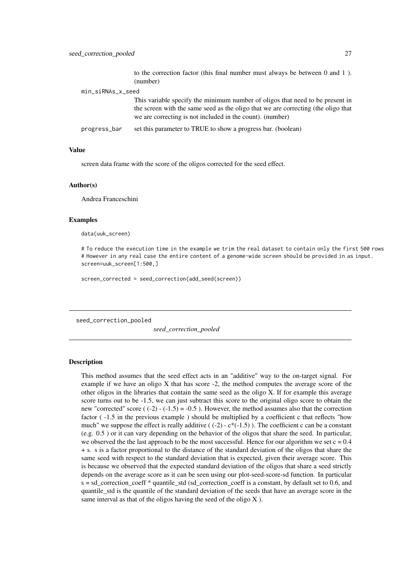to the correction factor (this final number must always be between 0 and 1 ). (number)

<span id="page-26-0"></span>

| min_siRNAs_x_seed |                                                                                   |  |
|-------------------|-----------------------------------------------------------------------------------|--|
|                   | This variable specify the minimum number of oligos that need to be present in     |  |
|                   | the screen with the same seed as the oligo that we are correcting (the oligo that |  |
|                   | we are correcting is not included in the count). (number)                         |  |
| progress_bar      | set this parameter to TRUE to show a progress bar. (boolean)                      |  |

#### Value

screen data frame with the score of the oligos corrected for the seed effect.

#### Author(s)

Andrea Franceschini

#### Examples

data(uuk\_screen)

# To reduce the execution time in the example we trim the real dataset to contain only the first 500 rows # However in any real case the entire content of a genome-wide screen should be provided in as input. screen=uuk\_screen[1:500,]

screen\_corrected = seed\_correction(add\_seed(screen))

seed\_correction\_pooled

*seed\_correction\_pooled*

#### Description

This method assumes that the seed effect acts in an "additive" way to the on-target signal. For example if we have an oligo X that has score -2, the method computes the average score of the other oligos in the libraries that contain the same seed as the oligo X. If for example this average score turns out to be -1.5, we can just subtract this score to the original oligo score to obtain the new "corrected" score  $((-2) - (-1.5) = -0.5)$ . However, the method assumes also that the correction factor ( -1.5 in the previous example ) should be multiplied by a coefficient c that reflects "how much" we suppose the effect is really additive ( $(-2)$  -  $c^*(-1.5)$ ). The coefficient c can be a constant (e.g. 0.5 ) or it can vary depending on the behavior of the oligos that share the seed. In particular, we observed the the last approach to be the most successful. Hence for our algorithm we set  $c = 0.4$ + s. s is a factor proportional to the distance of the standard deviation of the oligos that share the same seed with respect to the standard deviation that is expected, given their average score. This is because we observed that the expected standard deviation of the oligos that share a seed strictly depends on the average score as it can be seen using our plot-seed-score-sd function. In particular s = sd\_correction\_coeff \* quantile\_std (sd\_correction\_coeff is a constant, by default set to 0.6, and quantile\_std is the quantile of the standard deviation of the seeds that have an average score in the same interval as that of the oligos having the seed of the oligo X ).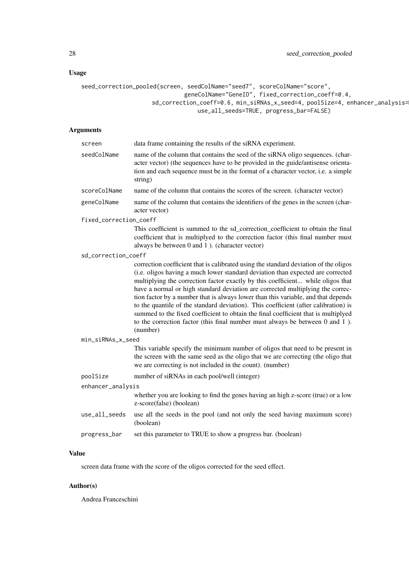# Usage

```
seed_correction_pooled(screen, seedColName="seed7", scoreColName="score",
                              geneColName="GeneID", fixed_correction_coeff=0.4,
                    sd_correction_coeff=0.6, min_siRNAs_x_seed=4, poolSize=4, enhancer_analysis=
                                  use_all_seeds=TRUE, progress_bar=FALSE)
```
## Arguments

| screen                 | data frame containing the results of the siRNA experiment.                                                                                                                                                                                                                                                                                                                                                                                                                                                                                                                                                                                                                                                      |  |
|------------------------|-----------------------------------------------------------------------------------------------------------------------------------------------------------------------------------------------------------------------------------------------------------------------------------------------------------------------------------------------------------------------------------------------------------------------------------------------------------------------------------------------------------------------------------------------------------------------------------------------------------------------------------------------------------------------------------------------------------------|--|
| seedColName            | name of the column that contains the seed of the siRNA oligo sequences. (char-<br>acter vector) (the sequences have to be provided in the guide/antisense orienta-<br>tion and each sequence must be in the format of a character vector, i.e. a simple<br>string)                                                                                                                                                                                                                                                                                                                                                                                                                                              |  |
| scoreColName           | name of the column that contains the scores of the screen. (character vector)                                                                                                                                                                                                                                                                                                                                                                                                                                                                                                                                                                                                                                   |  |
| geneColName            | name of the column that contains the identifiers of the genes in the screen (char-<br>acter vector)                                                                                                                                                                                                                                                                                                                                                                                                                                                                                                                                                                                                             |  |
| fixed_correction_coeff |                                                                                                                                                                                                                                                                                                                                                                                                                                                                                                                                                                                                                                                                                                                 |  |
|                        | This coefficient is summed to the sd_correction_coefficient to obtain the final<br>coefficient that is multiplyed to the correction factor (this final number must<br>always be between 0 and 1). (character vector)                                                                                                                                                                                                                                                                                                                                                                                                                                                                                            |  |
| sd_correction_coeff    |                                                                                                                                                                                                                                                                                                                                                                                                                                                                                                                                                                                                                                                                                                                 |  |
|                        | correction coefficient that is calibrated using the standard deviation of the oligos<br>(i.e. oligos having a much lower standard deviation than expected are corrected<br>multiplying the correction factor exactly by this coefficient while oligos that<br>have a normal or high standard deviation are corrected multiplying the correc-<br>tion factor by a number that is always lower than this variable, and that depends<br>to the quantile of the standard deviation). This coefficient (after calibration) is<br>summed to the fixed coefficient to obtain the final coefficient that is multiplyed<br>to the correction factor (this final number must always be between $0$ and $1$ ).<br>(number) |  |
| min_siRNAs_x_seed      |                                                                                                                                                                                                                                                                                                                                                                                                                                                                                                                                                                                                                                                                                                                 |  |
|                        | This variable specify the minimum number of oligos that need to be present in<br>the screen with the same seed as the oligo that we are correcting (the oligo that<br>we are correcting is not included in the count). (number)                                                                                                                                                                                                                                                                                                                                                                                                                                                                                 |  |
| poolSize               | number of siRNAs in each pool/well (integer)                                                                                                                                                                                                                                                                                                                                                                                                                                                                                                                                                                                                                                                                    |  |
| enhancer_analysis      |                                                                                                                                                                                                                                                                                                                                                                                                                                                                                                                                                                                                                                                                                                                 |  |
|                        | whether you are looking to find the genes having an high z-score (true) or a low<br>z-score(false) (boolean)                                                                                                                                                                                                                                                                                                                                                                                                                                                                                                                                                                                                    |  |
| use_all_seeds          | use all the seeds in the pool (and not only the seed having maximum score)<br>(boolean)                                                                                                                                                                                                                                                                                                                                                                                                                                                                                                                                                                                                                         |  |
| progress_bar           | set this parameter to TRUE to show a progress bar. (boolean)                                                                                                                                                                                                                                                                                                                                                                                                                                                                                                                                                                                                                                                    |  |

## Value

screen data frame with the score of the oligos corrected for the seed effect.

## Author(s)

Andrea Franceschini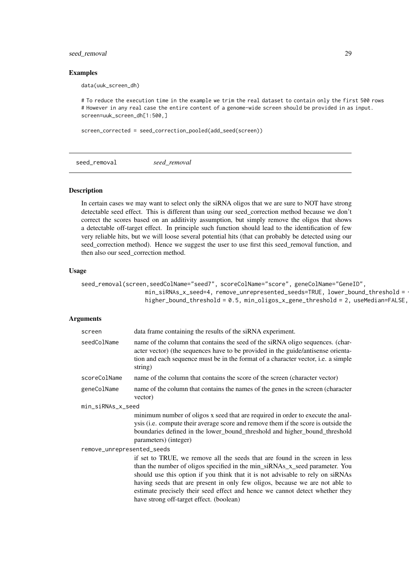#### <span id="page-28-0"></span>seed\_removal 29

#### Examples

data(uuk\_screen\_dh)

# To reduce the execution time in the example we trim the real dataset to contain only the first 500 rows # However in any real case the entire content of a genome-wide screen should be provided in as input. screen=uuk\_screen\_dh[1:500,]

screen\_corrected = seed\_correction\_pooled(add\_seed(screen))

seed\_removal *seed\_removal*

#### Description

In certain cases we may want to select only the siRNA oligos that we are sure to NOT have strong detectable seed effect. This is different than using our seed\_correction method because we don't correct the scores based on an additivity assumption, but simply remove the oligos that shows a detectable off-target effect. In principle such function should lead to the identification of few very reliable hits, but we will loose several potential hits (that can probably be detected using our seed\_correction method). Hence we suggest the user to use first this seed\_removal function, and then also our seed\_correction method.

#### Usage

```
seed_removal(screen,seedColName="seed7", scoreColName="score", geneColName="GeneID",
                   min_siRNAs_x_seed=4, remove_unrepresented_seeds=TRUE, lower_bound_threshold = -
                   higher_bound_threshold = 0.5, min_oligos_x_gene_threshold = 2, useMedian=FALSE,
```

| screen                     | data frame containing the results of the siRNA experiment.                                                                                                                                                                                                                                                                                                                                                                                                |  |
|----------------------------|-----------------------------------------------------------------------------------------------------------------------------------------------------------------------------------------------------------------------------------------------------------------------------------------------------------------------------------------------------------------------------------------------------------------------------------------------------------|--|
| seedColName                | name of the column that contains the seed of the siRNA oligo sequences. (char-<br>acter vector) (the sequences have to be provided in the guide/antisense orienta-<br>tion and each sequence must be in the format of a character vector, <i>i.e.</i> a simple<br>string)                                                                                                                                                                                 |  |
| scoreColName               | name of the column that contains the score of the screen (character vector)                                                                                                                                                                                                                                                                                                                                                                               |  |
| geneColName                | name of the column that contains the names of the genes in the screen (character<br>vector)                                                                                                                                                                                                                                                                                                                                                               |  |
| min_siRNAs_x_seed          |                                                                                                                                                                                                                                                                                                                                                                                                                                                           |  |
|                            | minimum number of oligos x seed that are required in order to execute the anal-<br>ysis (i.e. compute their average score and remove them if the score is outside the<br>boundaries defined in the lower_bound_threshold and higher_bound_threshold<br>parameters) (integer)                                                                                                                                                                              |  |
| remove_unrepresented_seeds |                                                                                                                                                                                                                                                                                                                                                                                                                                                           |  |
|                            | if set to TRUE, we remove all the seeds that are found in the screen in less<br>than the number of oligos specified in the min_siRNAs_x_seed parameter. You<br>should use this option if you think that it is not advisable to rely on siRNAs<br>having seeds that are present in only few oligos, because we are not able to<br>estimate precisely their seed effect and hence we cannot detect whether they<br>have strong off-target effect. (boolean) |  |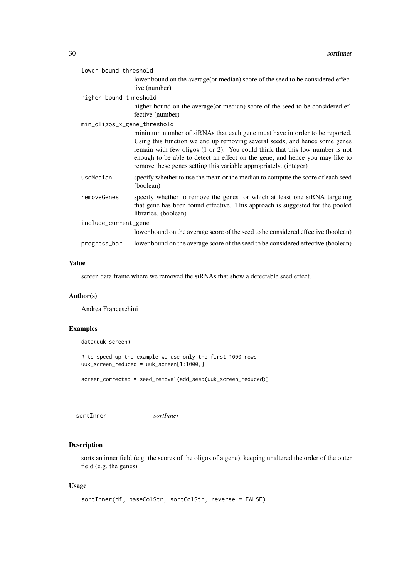<span id="page-29-0"></span>

|                      | lower_bound_threshold       |                                                                                                                                                                                                                                                                                                                                                                                               |
|----------------------|-----------------------------|-----------------------------------------------------------------------------------------------------------------------------------------------------------------------------------------------------------------------------------------------------------------------------------------------------------------------------------------------------------------------------------------------|
|                      |                             | lower bound on the average (or median) score of the seed to be considered effec-                                                                                                                                                                                                                                                                                                              |
|                      |                             | tive (number)                                                                                                                                                                                                                                                                                                                                                                                 |
|                      | higher_bound_threshold      |                                                                                                                                                                                                                                                                                                                                                                                               |
|                      |                             | higher bound on the average (or median) score of the seed to be considered ef-<br>fective (number)                                                                                                                                                                                                                                                                                            |
|                      | min_oligos_x_gene_threshold |                                                                                                                                                                                                                                                                                                                                                                                               |
|                      |                             | minimum number of siRNAs that each gene must have in order to be reported.<br>Using this function we end up removing several seeds, and hence some genes<br>remain with few oligos (1 or 2). You could think that this low number is not<br>enough to be able to detect an effect on the gene, and hence you may like to<br>remove these genes setting this variable appropriately. (integer) |
|                      | useMedian                   | specify whether to use the mean or the median to compute the score of each seed<br>(boolean)                                                                                                                                                                                                                                                                                                  |
|                      | removeGenes                 | specify whether to remove the genes for which at least one siRNA targeting<br>that gene has been found effective. This approach is suggested for the pooled<br>libraries. (boolean)                                                                                                                                                                                                           |
| include_current_gene |                             |                                                                                                                                                                                                                                                                                                                                                                                               |
|                      |                             | lower bound on the average score of the seed to be considered effective (boolean)                                                                                                                                                                                                                                                                                                             |
|                      | progress_bar                | lower bound on the average score of the seed to be considered effective (boolean)                                                                                                                                                                                                                                                                                                             |
|                      |                             |                                                                                                                                                                                                                                                                                                                                                                                               |

## Value

screen data frame where we removed the siRNAs that show a detectable seed effect.

## Author(s)

Andrea Franceschini

# Examples

data(uuk\_screen)

# to speed up the example we use only the first 1000 rows uuk\_screen\_reduced = uuk\_screen[1:1000,]

screen\_corrected = seed\_removal(add\_seed(uuk\_screen\_reduced))

sortInner *sortInner*

# Description

sorts an inner field (e.g. the scores of the oligos of a gene), keeping unaltered the order of the outer field (e.g. the genes)

# Usage

```
sortInner(df, baseColStr, sortColStr, reverse = FALSE)
```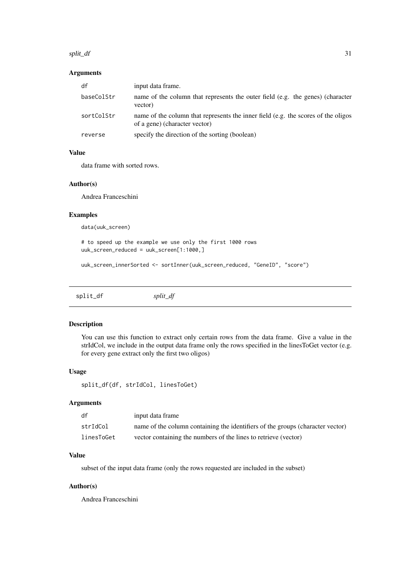#### <span id="page-30-0"></span>split\_df 31

## Arguments

| df         | input data frame.                                                                                                  |
|------------|--------------------------------------------------------------------------------------------------------------------|
| baseColStr | name of the column that represents the outer field (e.g. the genes) (character<br>vector)                          |
| sortColStr | name of the column that represents the inner field (e.g. the scores of the oligos<br>of a gene) (character vector) |
| reverse    | specify the direction of the sorting (boolean)                                                                     |

## Value

data frame with sorted rows.

## Author(s)

Andrea Franceschini

# Examples

data(uuk\_screen)

# to speed up the example we use only the first 1000 rows uuk\_screen\_reduced = uuk\_screen[1:1000,]

uuk\_screen\_innerSorted <- sortInner(uuk\_screen\_reduced, "GeneID", "score")

split\_df *split\_df*

## Description

You can use this function to extract only certain rows from the data frame. Give a value in the strIdCol, we include in the output data frame only the rows specified in the linesToGet vector (e.g. for every gene extract only the first two oligos)

## Usage

split\_df(df, strIdCol, linesToGet)

## Arguments

| df         | input data frame                                                               |
|------------|--------------------------------------------------------------------------------|
| strIdCol   | name of the column containing the identifiers of the groups (character vector) |
| linesToGet | vector containing the numbers of the lines to retrieve (vector)                |

## Value

subset of the input data frame (only the rows requested are included in the subset)

## Author(s)

Andrea Franceschini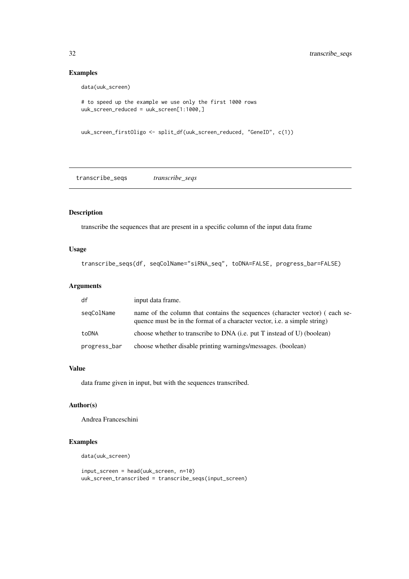## Examples

data(uuk\_screen)

```
# to speed up the example we use only the first 1000 rows
uuk_screen_reduced = uuk_screen[1:1000,]
```

```
uuk_screen_firstOligo <- split_df(uuk_screen_reduced, "GeneID", c(1))
```
transcribe\_seqs *transcribe\_seqs*

## Description

transcribe the sequences that are present in a specific column of the input data frame

## Usage

```
transcribe_seqs(df, seqColName="siRNA_seq", toDNA=FALSE, progress_bar=FALSE)
```
## Arguments

| df           | input data frame.                                                                                                                                               |
|--------------|-----------------------------------------------------------------------------------------------------------------------------------------------------------------|
| segColName   | name of the column that contains the sequences (character vector) (each se-<br>quence must be in the format of a character vector, <i>i.e.</i> a simple string) |
| toDNA        | choose whether to transcribe to DNA (i.e. put T instead of U) (boolean)                                                                                         |
| progress_bar | choose whether disable printing warnings/messages. (boolean)                                                                                                    |

## Value

data frame given in input, but with the sequences transcribed.

## Author(s)

Andrea Franceschini

## Examples

data(uuk\_screen)

input screen = head(uuk screen,  $n=10$ ) uuk\_screen\_transcribed = transcribe\_seqs(input\_screen)

<span id="page-31-0"></span>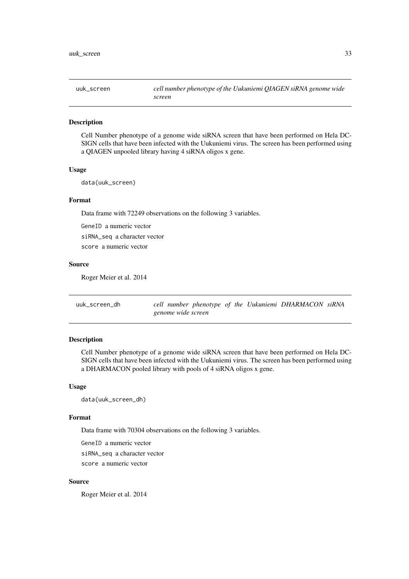<span id="page-32-0"></span>

#### Description

Cell Number phenotype of a genome wide siRNA screen that have been performed on Hela DC-SIGN cells that have been infected with the Uukuniemi virus. The screen has been performed using a QIAGEN unpooled library having 4 siRNA oligos x gene.

#### Usage

data(uuk\_screen)

#### Format

Data frame with 72249 observations on the following 3 variables.

GeneID a numeric vector siRNA\_seq a character vector score a numeric vector

#### Source

Roger Meier et al. 2014

| uuk_screen_dh      |  |  |  | cell number phenotype of the Uukuniemi DHARMACON siRNA |  |
|--------------------|--|--|--|--------------------------------------------------------|--|
| genome wide screen |  |  |  |                                                        |  |

#### Description

Cell Number phenotype of a genome wide siRNA screen that have been performed on Hela DC-SIGN cells that have been infected with the Uukuniemi virus. The screen has been performed using a DHARMACON pooled library with pools of 4 siRNA oligos x gene.

## Usage

data(uuk\_screen\_dh)

#### Format

Data frame with 70304 observations on the following 3 variables.

GeneID a numeric vector siRNA\_seq a character vector score a numeric vector

## Source

Roger Meier et al. 2014